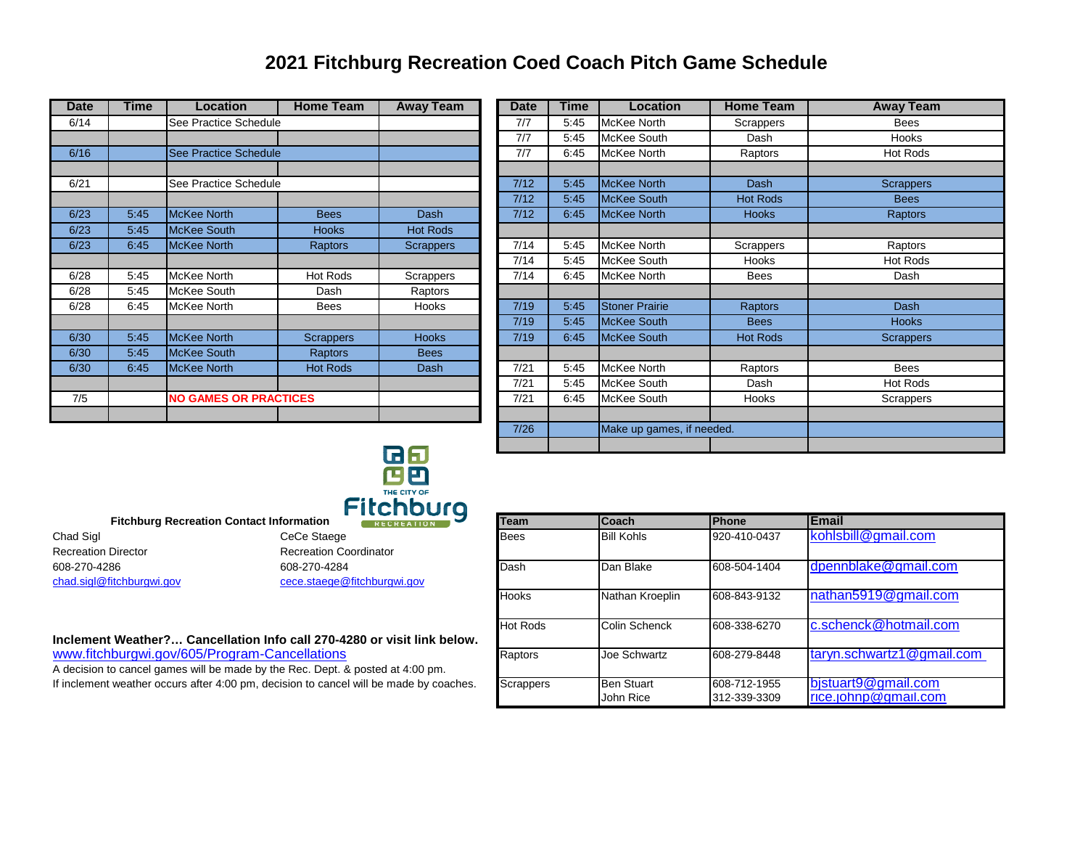## **2021 Fitchburg Recreation Coed Coach Pitch Game Schedule**

| Date | Time | Location                     | <b>Home Team</b> | <b>Away Team</b> |
|------|------|------------------------------|------------------|------------------|
| 6/14 |      | See Practice Schedule        |                  |                  |
|      |      |                              |                  |                  |
| 6/16 |      | See Practice Schedule        |                  |                  |
|      |      |                              |                  |                  |
| 6/21 |      | See Practice Schedule        |                  |                  |
|      |      |                              |                  |                  |
| 6/23 | 5.45 | <b>McKee North</b>           | <b>Bees</b>      | Dash             |
| 6/23 | 5.45 | <b>McKee South</b>           | <b>Hooks</b>     | <b>Hot Rods</b>  |
| 6/23 | 6:45 | <b>McKee North</b>           | <b>Raptors</b>   | <b>Scrappers</b> |
|      |      |                              |                  |                  |
| 6/28 | 5:45 | McKee North                  | Hot Rods         | <b>Scrappers</b> |
| 6/28 | 5:45 | McKee South                  | Dash             | Raptors          |
| 6/28 | 6:45 | McKee North                  | <b>Bees</b>      | Hooks            |
|      |      |                              |                  |                  |
| 6/30 | 5:45 | <b>McKee North</b>           | <b>Scrappers</b> | <b>Hooks</b>     |
| 6/30 | 5.45 | <b>McKee South</b>           | Raptors          | <b>Bees</b>      |
| 6/30 | 6.45 | <b>McKee North</b>           | <b>Hot Rods</b>  | Dash             |
|      |      |                              |                  |                  |
| 7/5  |      | <b>NO GAMES OR PRACTICES</b> |                  |                  |
|      |      |                              |                  |                  |

| <b>Date</b> | Time | <b>Location</b>              | <b>Home Team</b> | <b>Away Team</b> | <b>Date</b> | Time                      | <b>Location</b>       | <b>Home Team</b> | <b>Away Team</b> |
|-------------|------|------------------------------|------------------|------------------|-------------|---------------------------|-----------------------|------------------|------------------|
| 6/14        |      | See Practice Schedule        |                  |                  | 7/7         | 5:45                      | <b>McKee North</b>    | Scrappers        | <b>Bees</b>      |
|             |      |                              |                  |                  | 7/7         | 5:45                      | McKee South           | Dash             | <b>Hooks</b>     |
| 6/16        |      | See Practice Schedule        |                  |                  | 7/7         | 6:45                      | McKee North           | Raptors          | Hot Rods         |
|             |      |                              |                  |                  |             |                           |                       |                  |                  |
| 6/21        |      | See Practice Schedule        |                  |                  | $7/12$      | 5:45                      | <b>McKee North</b>    | Dash             | <b>Scrappers</b> |
|             |      |                              |                  |                  | 7/12        | 5:45                      | <b>McKee South</b>    | <b>Hot Rods</b>  | <b>Bees</b>      |
| 6/23        | 5:45 | <b>McKee North</b>           | <b>Bees</b>      | <b>Dash</b>      | 7/12        | 6:45                      | <b>McKee North</b>    | <b>Hooks</b>     | Raptors          |
| 6/23        | 5:45 | <b>McKee South</b>           | <b>Hooks</b>     | <b>Hot Rods</b>  |             |                           |                       |                  |                  |
| 6/23        | 6:45 | <b>McKee North</b>           | <b>Raptors</b>   | <b>Scrappers</b> | 7/14        | 5:45                      | McKee North           | Scrappers        | Raptors          |
|             |      |                              |                  |                  | 7/14        | 5:45                      | McKee South           | Hooks            | Hot Rods         |
| 6/28        | 5:45 | <b>McKee North</b>           | Hot Rods         | Scrappers        | 7/14        | 6:45                      | McKee North           | <b>Bees</b>      | Dash             |
| 6/28        | 5:45 | McKee South                  | Dash             | Raptors          |             |                           |                       |                  |                  |
| 6/28        | 6:45 | <b>McKee North</b>           | Bees             | Hooks            | 7/19        | 5:45                      | <b>Stoner Prairie</b> | <b>Raptors</b>   | Dash             |
|             |      |                              |                  |                  | 7/19        | 5:45                      | <b>McKee South</b>    | <b>Bees</b>      | <b>Hooks</b>     |
| 6/30        | 5:45 | <b>McKee North</b>           | <b>Scrappers</b> | <b>Hooks</b>     | 7/19        | 6:45                      | <b>McKee South</b>    | <b>Hot Rods</b>  | <b>Scrappers</b> |
| 6/30        | 5:45 | <b>McKee South</b>           | <b>Raptors</b>   | <b>Bees</b>      |             |                           |                       |                  |                  |
| 6/30        | 6:45 | <b>McKee North</b>           | <b>Hot Rods</b>  | Dash             | 7/21        | 5:45                      | McKee North           | Raptors          | <b>Bees</b>      |
|             |      |                              |                  |                  | 7/21        | 5:45                      | McKee South           | Dash             | Hot Rods         |
| 7/5         |      | <b>NO GAMES OR PRACTICES</b> |                  |                  | 7/21        | 6:45                      | McKee South           | <b>Hooks</b>     | Scrappers        |
|             |      |                              |                  |                  |             |                           |                       |                  |                  |
|             |      |                              |                  | 7/26             |             | Make up games, if needed. |                       |                  |                  |
| <u>ra a</u> |      |                              |                  |                  |             |                           |                       |                  |                  |



| Chad Sigl                  | CeCe Staege                   |
|----------------------------|-------------------------------|
| <b>Recreation Director</b> | <b>Recreation Coordinator</b> |
| 608-270-4286               | 608-270-4284                  |
| chad.sigl@fitchburgwi.gov  | cece.staege@fitchburg         |

## **Inclement Weather?… Cancellation Info call 270-4280 or visit link below.** www.fitchburgwi.gov/605/Program-Cancellations

| <b>Fitchburg Recreation Contact Information</b>                                                                                 | 1101 1001 9<br><b>RECREATION</b>            | <b>Team</b>      | <b>Coach</b>                   | Phone                                                                                                                                 | <b>IEmail</b>                                      |
|---------------------------------------------------------------------------------------------------------------------------------|---------------------------------------------|------------------|--------------------------------|---------------------------------------------------------------------------------------------------------------------------------------|----------------------------------------------------|
| Chad Sigl                                                                                                                       | CeCe Staege                                 | <b>Bees</b>      | <b>Bill Kohls</b>              | 920-410-0437                                                                                                                          | kohlsbill@gmail.com                                |
| <b>Recreation Director</b>                                                                                                      | <b>Recreation Coordinator</b>               |                  |                                |                                                                                                                                       |                                                    |
| 608-270-4286<br>chad.sigl@fitchburgwi.gov                                                                                       | 608-270-4284<br>cece.staege@fitchburgwi.gov | Dash             | Dan Blake                      | dpennblake@gmail.com<br>608-504-1404<br>nathan5919@gmail.com<br>608-843-9132<br>c.schenck@hotmail.com<br>608-338-6270<br>608-279-8448 |                                                    |
|                                                                                                                                 |                                             | <b>Hooks</b>     | Nathan Kroeplin                |                                                                                                                                       |                                                    |
| Inclement Weather? Cancellation Info call 270-4280 or visit link below.                                                         |                                             | <b>Hot Rods</b>  | Colin Schenck                  |                                                                                                                                       |                                                    |
| www.fitchburgwi.gov/605/Program-Cancellations<br>A decision to cancel games will be made by the Rec. Dept. & posted at 4:00 pm. |                                             | Raptors          | Joe Schwartz                   |                                                                                                                                       | $\tan yn.schwartz1@gmail.com$                      |
| If inclement weather occurs after 4:00 pm, decision to cancel will be made by coaches.                                          |                                             | <b>Scrappers</b> | <b>Ben Stuart</b><br>John Rice | 608-712-1955<br>312-339-3309                                                                                                          | bistuart9@gmail.com<br>$rice.$ johnp $@$ qmail.com |